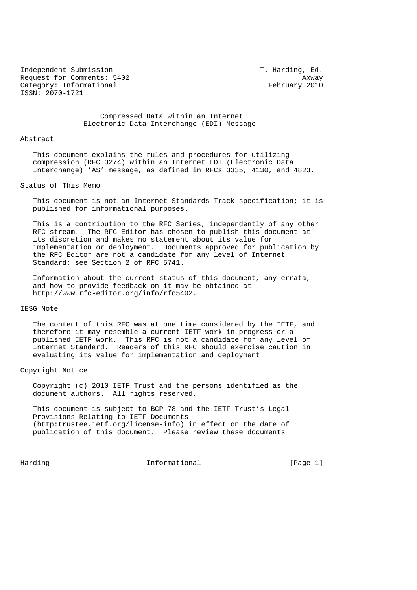Independent Submission T. Harding, Ed. Request for Comments: 5402 Axway Category: Informational example of the example of the February 2010 ISSN: 2070-1721

 Compressed Data within an Internet Electronic Data Interchange (EDI) Message

#### Abstract

 This document explains the rules and procedures for utilizing compression (RFC 3274) within an Internet EDI (Electronic Data Interchange) 'AS' message, as defined in RFCs 3335, 4130, and 4823.

#### Status of This Memo

 This document is not an Internet Standards Track specification; it is published for informational purposes.

 This is a contribution to the RFC Series, independently of any other RFC stream. The RFC Editor has chosen to publish this document at its discretion and makes no statement about its value for implementation or deployment. Documents approved for publication by the RFC Editor are not a candidate for any level of Internet Standard; see Section 2 of RFC 5741.

 Information about the current status of this document, any errata, and how to provide feedback on it may be obtained at http://www.rfc-editor.org/info/rfc5402.

#### IESG Note

 The content of this RFC was at one time considered by the IETF, and therefore it may resemble a current IETF work in progress or a published IETF work. This RFC is not a candidate for any level of Internet Standard. Readers of this RFC should exercise caution in evaluating its value for implementation and deployment.

## Copyright Notice

 Copyright (c) 2010 IETF Trust and the persons identified as the document authors. All rights reserved.

 This document is subject to BCP 78 and the IETF Trust's Legal Provisions Relating to IETF Documents (http:trustee.ietf.org/license-info) in effect on the date of publication of this document. Please review these documents

Harding **Informational Informational** [Page 1]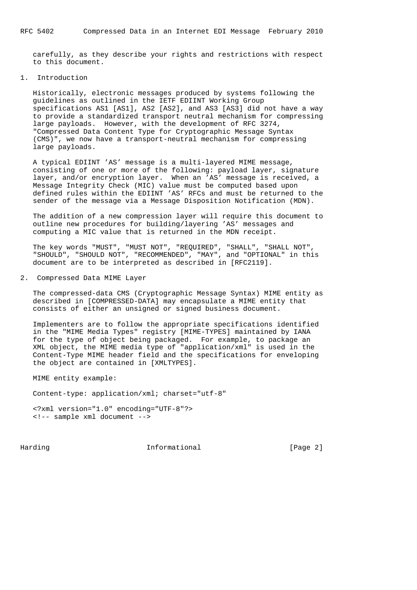carefully, as they describe your rights and restrictions with respect to this document.

#### 1. Introduction

 Historically, electronic messages produced by systems following the guidelines as outlined in the IETF EDIINT Working Group specifications AS1 [AS1], AS2 [AS2], and AS3 [AS3] did not have a way to provide a standardized transport neutral mechanism for compressing large payloads. However, with the development of RFC 3274, "Compressed Data Content Type for Cryptographic Message Syntax (CMS)", we now have a transport-neutral mechanism for compressing large payloads.

 A typical EDIINT 'AS' message is a multi-layered MIME message, consisting of one or more of the following: payload layer, signature layer, and/or encryption layer. When an 'AS' message is received, a Message Integrity Check (MIC) value must be computed based upon defined rules within the EDIINT 'AS' RFCs and must be returned to the sender of the message via a Message Disposition Notification (MDN).

 The addition of a new compression layer will require this document to outline new procedures for building/layering 'AS' messages and computing a MIC value that is returned in the MDN receipt.

 The key words "MUST", "MUST NOT", "REQUIRED", "SHALL", "SHALL NOT", "SHOULD", "SHOULD NOT", "RECOMMENDED", "MAY", and "OPTIONAL" in this document are to be interpreted as described in [RFC2119].

2. Compressed Data MIME Layer

 The compressed-data CMS (Cryptographic Message Syntax) MIME entity as described in [COMPRESSED-DATA] may encapsulate a MIME entity that consists of either an unsigned or signed business document.

 Implementers are to follow the appropriate specifications identified in the "MIME Media Types" registry [MIME-TYPES] maintained by IANA for the type of object being packaged. For example, to package an XML object, the MIME media type of "application/xml" is used in the Content-Type MIME header field and the specifications for enveloping the object are contained in [XMLTYPES].

MIME entity example:

Content-type: application/xml; charset="utf-8"

 <?xml version="1.0" encoding="UTF-8"?> <!-- sample xml document -->

Harding **Informational Informational** [Page 2]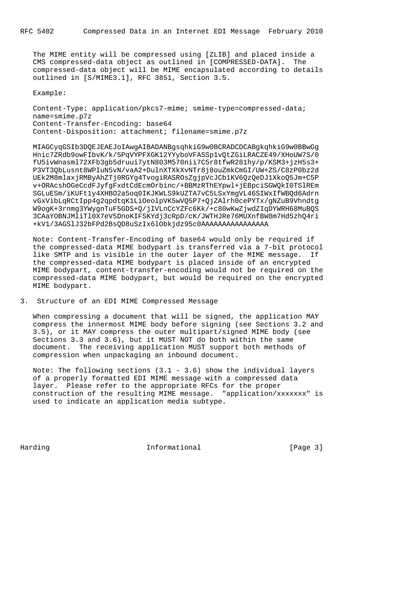The MIME entity will be compressed using [ZLIB] and placed inside a CMS compressed-data object as outlined in [COMPRESSED-DATA]. The compressed-data object will be MIME encapsulated according to details outlined in [S/MIME3.1], RFC 3851, Section 3.5.

Example:

 Content-Type: application/pkcs7-mime; smime-type=compressed-data; name=smime.p7z Content-Transfer-Encoding: base64 Content-Disposition: attachment; filename=smime.p7z

 MIAGCyqGSIb3DQEJEAEJoIAwgAIBADANBgsqhkiG9w0BCRADCDCABgkqhkiG9w0BBwGg Hnic7ZRdb9owFIbvK/k/5PqVYPFXGK12YYyboVFASSp1vQtZGiLRACZE49/XHoUW7S/0 fU5ivWnasml72XFb3gb5druui7ytN803M570nii7C5r8tfwR281hy/p/KSM3+jzH5s3+ P3VT3QbLusnt8WPIuN5vN/vaA2+DulnXTXkXvNTr8j8ouZmkCmGI/UW+ZS/C8zP0bz2d UEk2M8mlaxjRMByAhZTj0RGYg4TvogiRASROsZgjpVcJCb1KV6QzQeDJ1XkoQ5Jm+C5P v+ORAcshOGeCcdFJyfgFxdtCdEcmOrbinc/+BBMzRThEYpwl+jEBpciSGWQkI0TSlREm SGLuESm/iKUFt1y4XHBO2a5oq0IKJKWLS9kUZTA7vC5LSxYmgVL46SIWxIfWBQd6Adrn vGxVibLqRCtIpp4g2qpdtqK1LiOeolpVK5wVQ5P7+QjZAlrh0cePYTx/gNZuB9Vhndtg W9ogK+3rnmg3YWygnTuF5GDS+Q/jIVLnCcYZFc6Kk/+c80wKwZjwdZIqDYWRH68MuBQS 3CAaYOBNJMliTl0X7eV5DnoKIFSKYdj3cRpD/cK/JWTHJRe76MUXnfBW8m7Hd5zhQ4ri +kV1/3AGSlJ32bFPd2BsQD8uSzIx6lObkjdz95c0AAAAAAAAAAAAAAAA

 Note: Content-Transfer-Encoding of base64 would only be required if the compressed-data MIME bodypart is transferred via a 7-bit protocol like SMTP and is visible in the outer layer of the MIME message. If the compressed-data MIME bodypart is placed inside of an encrypted MIME bodypart, content-transfer-encoding would not be required on the compressed-data MIME bodypart, but would be required on the encrypted MIME bodypart.

### 3. Structure of an EDI MIME Compressed Message

 When compressing a document that will be signed, the application MAY compress the innermost MIME body before signing (see Sections 3.2 and 3.5), or it MAY compress the outer multipart/signed MIME body (see Sections 3.3 and 3.6), but it MUST NOT do both within the same document. The receiving application MUST support both methods of compression when unpackaging an inbound document.

 Note: The following sections (3.1 - 3.6) show the individual layers of a properly formatted EDI MIME message with a compressed data layer. Please refer to the appropriate RFCs for the proper construction of the resulting MIME message. "application/xxxxxxx" is used to indicate an application media subtype.

Harding **Informational Informational** [Page 3]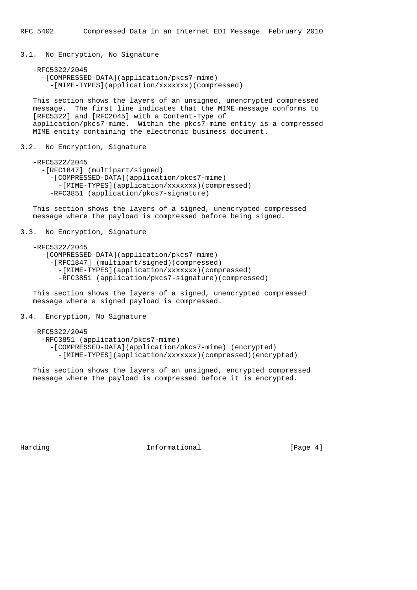3.1. No Encryption, No Signature

```
 -RFC5322/2045
  -[COMPRESSED-DATA](application/pkcs7-mime)
    -[MIME-TYPES](application/xxxxxxx)(compressed)
```
 This section shows the layers of an unsigned, unencrypted compressed message. The first line indicates that the MIME message conforms to [RFC5322] and [RFC2045] with a Content-Type of application/pkcs7-mime. Within the pkcs7-mime entity is a compressed MIME entity containing the electronic business document.

3.2. No Encryption, Signature

 -RFC5322/2045 -[RFC1847] (multipart/signed) -[COMPRESSED-DATA](application/pkcs7-mime) -[MIME-TYPES](application/xxxxxxx)(compressed) -RFC3851 (application/pkcs7-signature)

 This section shows the layers of a signed, unencrypted compressed message where the payload is compressed before being signed.

3.3. No Encryption, Signature

```
 -RFC5322/2045
  -[COMPRESSED-DATA](application/pkcs7-mime)
    -[RFC1847] (multipart/signed)(compressed)
      -[MIME-TYPES](application/xxxxxxx)(compressed)
      -RFC3851 (application/pkcs7-signature)(compressed)
```
 This section shows the layers of a signed, unencrypted compressed message where a signed payload is compressed.

# 3.4. Encryption, No Signature

```
 -RFC5322/2045
  -RFC3851 (application/pkcs7-mime)
    -[COMPRESSED-DATA](application/pkcs7-mime) (encrypted)
      -[MIME-TYPES](application/xxxxxxx)(compressed)(encrypted)
```
 This section shows the layers of an unsigned, encrypted compressed message where the payload is compressed before it is encrypted.

Harding **Informational Informational** [Page 4]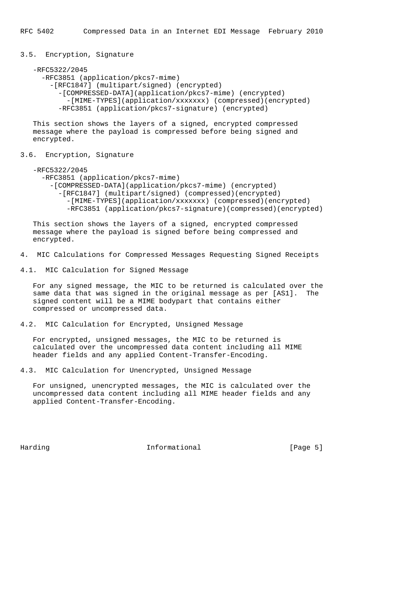3.5. Encryption, Signature

```
 -RFC5322/2045
```

```
 -RFC3851 (application/pkcs7-mime)
 -[RFC1847] (multipart/signed) (encrypted)
```

```
 -[COMPRESSED-DATA](application/pkcs7-mime) (encrypted)
 -[MIME-TYPES](application/xxxxxxx) (compressed)(encrypted)
-RFC3851 (application/pkcs7-signature) (encrypted)
```
 This section shows the layers of a signed, encrypted compressed message where the payload is compressed before being signed and encrypted.

3.6. Encryption, Signature

-RFC5322/2045

```
 -RFC3851 (application/pkcs7-mime)
 -[COMPRESSED-DATA](application/pkcs7-mime) (encrypted)
    -[RFC1847] (multipart/signed) (compressed)(encrypted)
      -[MIME-TYPES](application/xxxxxxx) (compressed)(encrypted)
      -RFC3851 (application/pkcs7-signature)(compressed)(encrypted)
```
 This section shows the layers of a signed, encrypted compressed message where the payload is signed before being compressed and encrypted.

4. MIC Calculations for Compressed Messages Requesting Signed Receipts

4.1. MIC Calculation for Signed Message

 For any signed message, the MIC to be returned is calculated over the same data that was signed in the original message as per [AS1]. The signed content will be a MIME bodypart that contains either compressed or uncompressed data.

4.2. MIC Calculation for Encrypted, Unsigned Message

 For encrypted, unsigned messages, the MIC to be returned is calculated over the uncompressed data content including all MIME header fields and any applied Content-Transfer-Encoding.

4.3. MIC Calculation for Unencrypted, Unsigned Message

 For unsigned, unencrypted messages, the MIC is calculated over the uncompressed data content including all MIME header fields and any applied Content-Transfer-Encoding.

Harding **Informational Informational** [Page 5]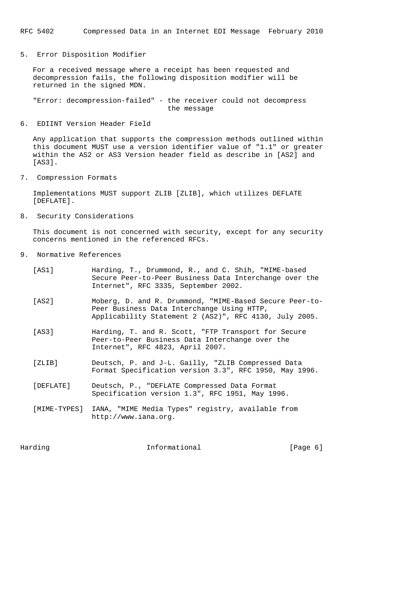RFC 5402 Compressed Data in an Internet EDI Message February 2010

5. Error Disposition Modifier

 For a received message where a receipt has been requested and decompression fails, the following disposition modifier will be returned in the signed MDN.

 "Error: decompression-failed" - the receiver could not decompress the message

#### 6. EDIINT Version Header Field

 Any application that supports the compression methods outlined within this document MUST use a version identifier value of "1.1" or greater within the AS2 or AS3 Version header field as describe in [AS2] and [AS3].

7. Compression Formats

 Implementations MUST support ZLIB [ZLIB], which utilizes DEFLATE [DEFLATE].

8. Security Considerations

 This document is not concerned with security, except for any security concerns mentioned in the referenced RFCs.

- 9. Normative References
	- [AS1] Harding, T., Drummond, R., and C. Shih, "MIME-based Secure Peer-to-Peer Business Data Interchange over the Internet", RFC 3335, September 2002. [AS2] Moberg, D. and R. Drummond, "MIME-Based Secure Peer-to- Peer Business Data Interchange Using HTTP, Applicability Statement 2 (AS2)", RFC 4130, July 2005. [AS3] Harding, T. and R. Scott, "FTP Transport for Secure Peer-to-Peer Business Data Interchange over the Internet", RFC 4823, April 2007. [ZLIB] Deutsch, P. and J-L. Gailly, "ZLIB Compressed Data Format Specification version 3.3", RFC 1950, May 1996. [DEFLATE] Deutsch, P., "DEFLATE Compressed Data Format Specification version 1.3", RFC 1951, May 1996.
	- [MIME-TYPES] IANA, "MIME Media Types" registry, available from http://www.iana.org.

Harding **Informational Informational** [Page 6]